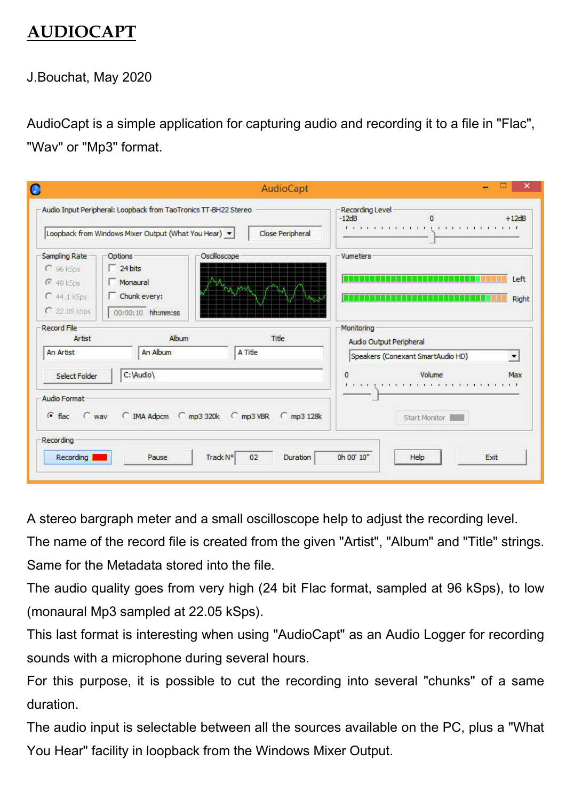## AUDIOCAPT

J.Bouchat, May 2020

AudioCapt is a simple application for capturing audio and recording it to a file in "Flac", "Wav" or "Mp3" format.

|                                             | Audio Input Peripheral: Loopback from TaoTronics TT-BH22 Stereo                   |              |                         | Recording Level<br>$-12dB$ |                                                              | $+12dB$       |
|---------------------------------------------|-----------------------------------------------------------------------------------|--------------|-------------------------|----------------------------|--------------------------------------------------------------|---------------|
| Sampling Rate<br>$C$ 96 kSps                | Loopback from Windows Mixer Output (What You Hear) v<br>Options<br>$\Box$ 24 bits | Oscilloscope | <b>Close Peripheral</b> | Vumeters                   |                                                              |               |
| 648 k5ps<br>$C$ 44.1 kSps<br>$C$ 22.05 kSps | Monaural<br>Chunk every:<br>00:00:10 hh:mm:ss                                     |              |                         |                            |                                                              | Left<br>Right |
| <b>Record File</b><br>Artist                | Album                                                                             |              | Title                   | Monitoring                 |                                                              |               |
| An Artist                                   | An Album                                                                          | A Title      |                         |                            | Audio Output Peripheral<br>Speakers (Conexant SmartAudio HD) |               |
| <b>Select Folder</b>                        | C:\Audio\                                                                         |              |                         | 0                          | Volume                                                       | Max           |
| Audio Format<br>$C$ flac<br>$C$ way         | C IMA Adpcm C mp3 320k C mp3 VBR                                                  |              | $C$ mp3 128 $k$         |                            | Start Monitor                                                |               |
| Recording                                   |                                                                                   |              | 02<br>Duration          | 0h 00' 10"                 | Help                                                         | Exit          |

A stereo bargraph meter and a small oscilloscope help to adjust the recording level.

The name of the record file is created from the given "Artist", "Album" and "Title" strings. Same for the Metadata stored into the file.

The audio quality goes from very high (24 bit Flac format, sampled at 96 kSps), to low (monaural Mp3 sampled at 22.05 kSps).

This last format is interesting when using "AudioCapt" as an Audio Logger for recording sounds with a microphone during several hours.

For this purpose, it is possible to cut the recording into several "chunks" of a same duration.

The audio input is selectable between all the sources available on the PC, plus a "What You Hear" facility in loopback from the Windows Mixer Output.